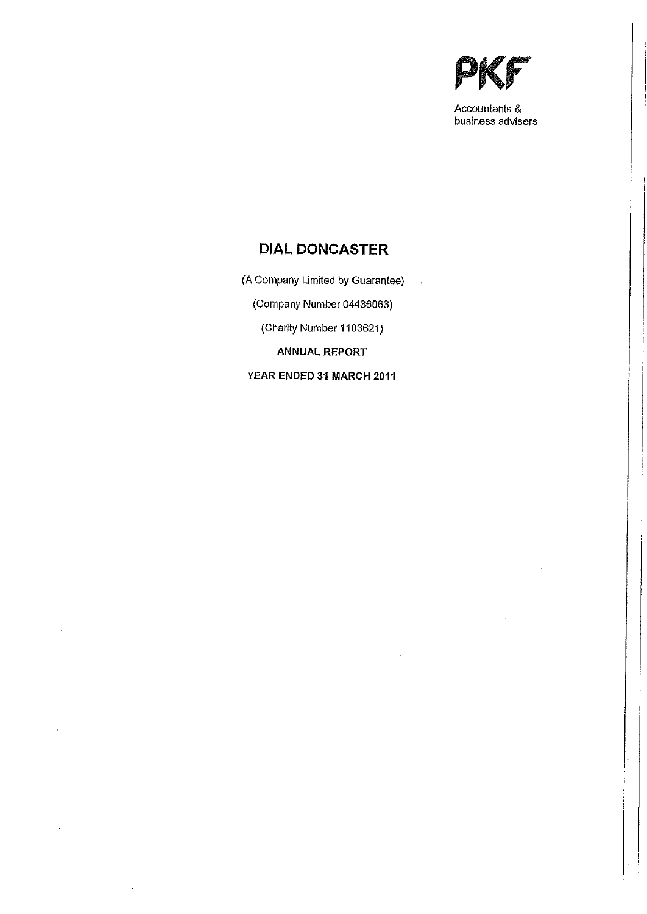

Accountants & business advisers

# DIAL DONCASTER

(A Company Limited by Guarantee)  $\mathcal{L}_{\text{eff}}$ (Company Number 04436063) (Charity Number 1103621) ANNUAL REPORT YEAR ENDED 31 MARCH 2011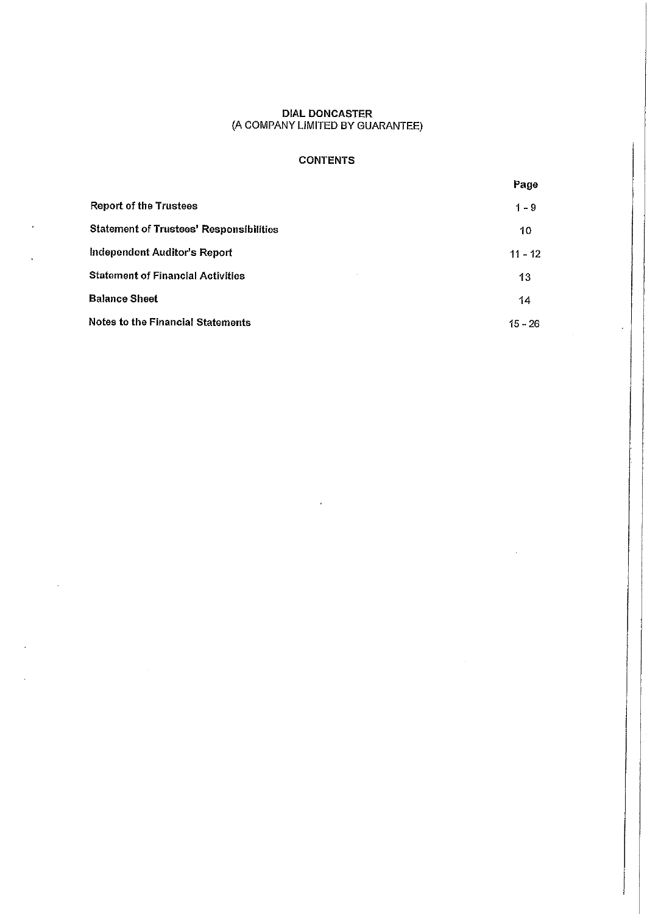# **CONTENTS**

|                                                | Page      |
|------------------------------------------------|-----------|
| <b>Report of the Trustees</b>                  | $1 - 9$   |
| <b>Statement of Trustees' Responsibilities</b> | 10        |
| Independent Auditor's Report                   | $11 - 12$ |
| <b>Statement of Financial Activities</b>       | 13        |
| <b>Balance Sheet</b>                           | 14        |
| Notes to the Financial Statements              | $15 - 26$ |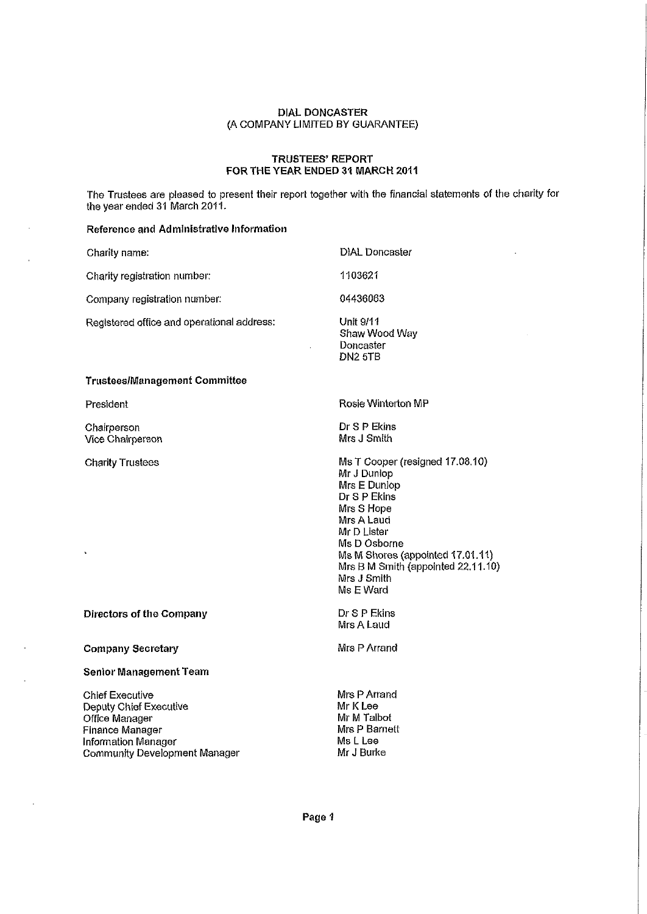#### TRUSTEES' REPORT FOR THE YEAR ENDED 31 MARCH 2011

The Trustees are pleased to present their report together with the financial statements of the charity for the year ended 31 March 2011.

#### Reference and Administrative Information

Charity registration number: 1103621

Company registration number: 04436063

Registered office and operational address: Unit 9/11

#### Trustees/Management Committee

**Chairperson Chairperson Chairperson Chairperson Chairpers Chairpers Chairpers Chairpers Chairpers Chairpers Cha<br>
Chairperson Chairperson Chairpers Chairpers Chairpers Chairpers Chairpers Chairpers Chairpers Chairpers Chai** Vice Chairperson

## Directors of the Company

Company Secretary

## Senior Management Team

Chief Executive Deputy Chief Executive Office Manager Finance Manager Information Manager Community Development Manager

Charity name: DIAL Doncaster

Shaw Wood Way Doncaster DN2 6TB

President Rosie Winterton MP

Charity Trustees Ms T Cooper (resigned 17.08.10) Mr J Dunlop Mrs E Dunlop Dr S P Ekins Mrs S Hope Mrs A Laud Mr D Lister Ms D Osborne Ms M Shores (appointed 17.01.11) Mrs B M Smith (appointed 22.11.10) Mrs J Smith Ms E Ward

> Dr 8 P Ekins Mrs A Laud

Mrs P Arrand

Mrs P Arrand Mr K Lee Mr M Talbot Mrs P Barnett Ms L Lee Mr J Burke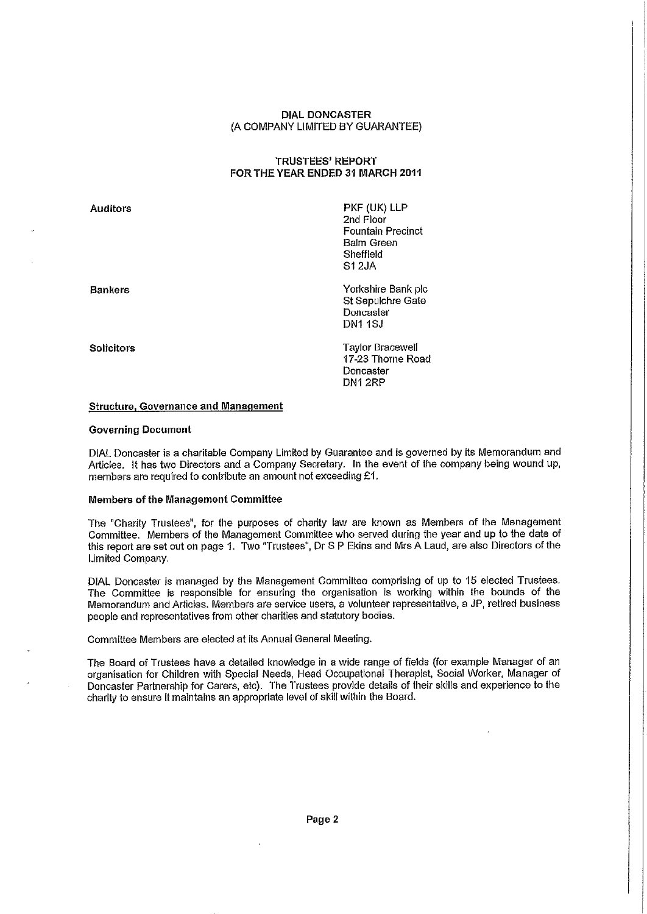# TRUSTEES' REPORT FOR THE YEAR ENDED 31 MARCH 2011

Auditors

Fountain Precinct Balm Green Sheffield Si 2JA

PKF (UK) LLP 2nd Floor

Yorkshire Bank plc St Sepulchre Gate Doncaster DN1 1SJ

Solicitors

Bankers

17-23 Thorne Road Doncaster DN1 2RP

Taylor Bracewell

## Structure, Governance and Management

#### Governing Document

DIAL Doncaster is a charitable Company Limited by Guarantee and is governed by its Memorandum and Articles. It has two Directors and a Company Secretary. In the event of the company being wound up, members are required to contribute an amount not exceeding £1.

#### Members of the Management Committee

The "Charity Trustees", for the purposes of charity law are known as Members of the Management Committee. Members of the Management Committee who served during the year and up to the date of this report are set out on page 1. Two "Trustees", Dr S P Ekins and Mrs A Laud, are also Directors of the Limited Company.

DIAL Doncaster is managed by the Management Committee comprising of up to 15 elected Trustees. The Committee is responsible for ensuring the organisation is working within the bounds of the Memorandum and Articles. Members are service users, a volunteer representative, a JP, retired business people and representatives from other charities and statutory bodies.

Committee Members are elected at its Annual General Meeting.

The Board of Trustees have a detailed knowledge in a wide range of fields (for example Manager of an organisation for Children with Special Needs, Head Occupational Therapist, Social Worker, Manager of Doncaster Partnership for Carers, etc). The Trustees provide details of their skills and experience to the charity to ensure it maintains an appropriate level of skill within the Board.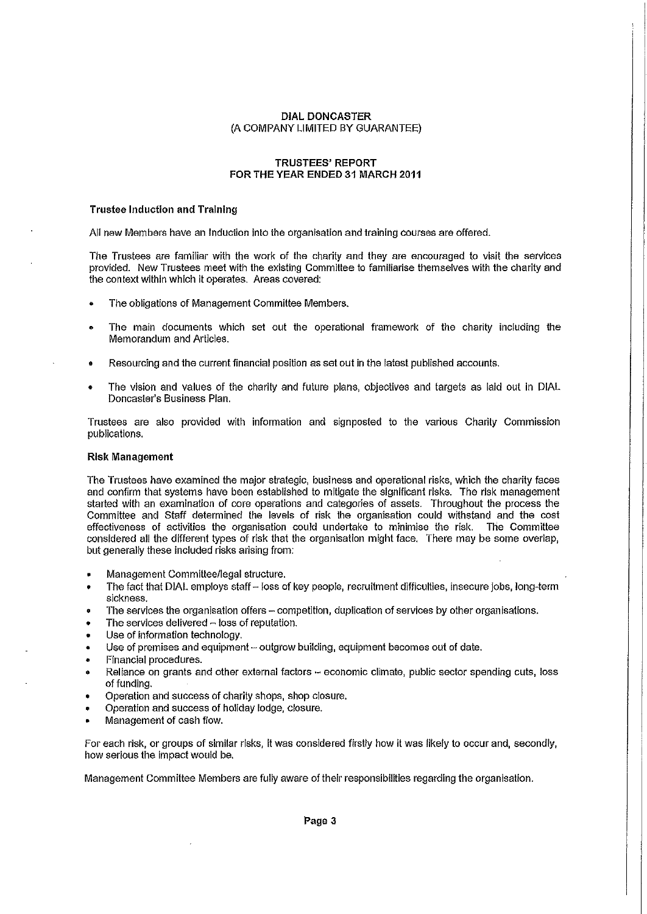## TRUSTEES' REPORT FOR THE YEAR ENDED 31 MARCH 2011

#### Trustee Induction and Training

All new Members have an Induction into the organisation and training courses are offered.

The Trustees are familiar with the work of the charity and they are encouraged to visit the services provided. New Trustees meet with the existing Committee to familiarise themselves with the charity and the context within which it operates. Areas covered:

- The obligations of Management Committee Members.
- The main documents which set out the operational framework of the charity including the Memorandum and Articles.
- Resourcing and the current financial position as set out in the latest published accounts.
- The vision and values of the charity and future plans, objectives and targets as laid out in DIAL Doncaster's Business Plan.

Trustees are also provided with information and signposted to the various Charity Commission publications.

#### Risk Management

The Trustees have examined the major strategic, business and operational risks, which the charity faces and confirm that systems have been established to mitigate the significant risks. The risk management started with an examination of core operations and categories of assets. Throughout the process the Committee and Staff determined the levels of risk the organisation could withstand and the cost effectiveness of activities the organisation could undertake to minimise the risk. The Committee considered all the different types of risk that the organisation might face. There may be some overlap, but generally these included risks arising from:

- Management Committee/legal structure.
- The fact that DIAL employs staff loss of key people, recruitment difficulties, insecure jobs, long-term sickness.
- The services the organisation offers competition, duplication of services by other organisations.
- The services delivered  $-$  loss of reputation.
- Use of information technology.
- Use of premises and equipment outgrow building, equipment becomes out of date.
- Financial procedures.
- Reliance on grants and other external factors economic climate, public sector spending cuts, loss of funding.
- Operation and success of charity shops, shop closure.
- Operation and success of holiday lodge, closure.
- Management of cash flow.

For each risk, or groups of similar risks, it was considered firstly how it was likely to occur and, secondly, how serious the impact would be.

Management Committee Members are fully aware of their responsibilities regarding the organisation.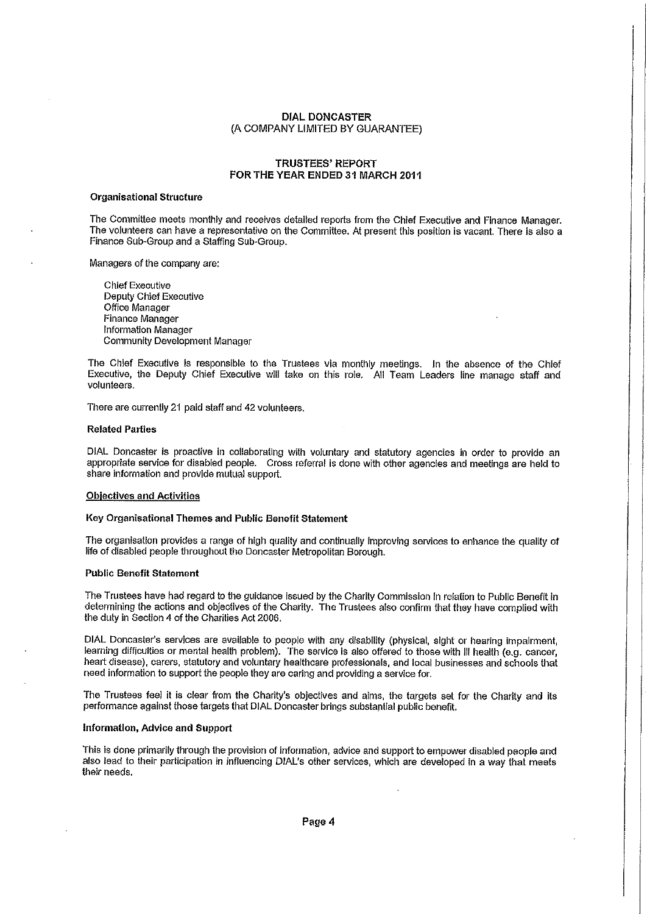## TRUSTEES' REPORT FOR THE YEAR ENDED 31 MARCH 2011

#### Organisational Structure

The Committee meets monthly and receives detailed reports from the Chief Executive and Finance Manager. The volunteers can have a representative on the Committee. At present this position is vacant. There is also a Finance Sub-Group and a Staffing Sub-Group.

Managers of the company are:

Chief Executive Deputy Chief Executive Office Manager Finance Manager Information Manager Community Development Manager

The Chief Executive is responsible to the Trustees via monthly meetings. In the absence of the Chief Executive, the Deputy Chief Executive will take on this role. All Team Leaders line manage staff and volunteers.

There are currently 21 paid staff and 42 volunteers.

#### Related Parties

DIAL Doncaster is proactive in collaborating with voluntary and statutory agencies in order to provide an appropriate service for disabled people. Cross referral Is done with other agencies and meetings are held to share information and provide mutual support.

#### Objectives and Activities

#### Key Organisational Themes and Public Benefit Statement

The organisation provides a range of high quality and continually Improving services to enhance the quality of life of disabled people throughout the Doncaster Metropolitan Borough.

#### Public Benefit Statement

The Trustees have had regard to the guidance issued by the Charity Commission In relation to Public Benefit in determining the actions and objectives of the Charity. The Trustees also confirm that they have complied with the duty in Section 4 of the Charities Act 2006.

DIAL Doncaster's services are available to people with any disability (physical, sight or hearing impairment, learning difficulties or mental health problem). The service is also offered to those with III health (e.g. cancer, heart disease), carers, statutory and voluntary healthcare professionals, and local businesses and schools that need information to support the people they are caring and providing a service for.

The Trustees feel it is clear from the Charity's objectives and aims, the targets set for the Charity and its performance against those targets that DIAL Doncaster brings substantial public benefit,

#### Information, Advice and Support

This is done primarily through the provision of information, advice and support to empower disabled people and also lead to their participation in influencing DIAL's other services, which are developed in a way that meets their needs.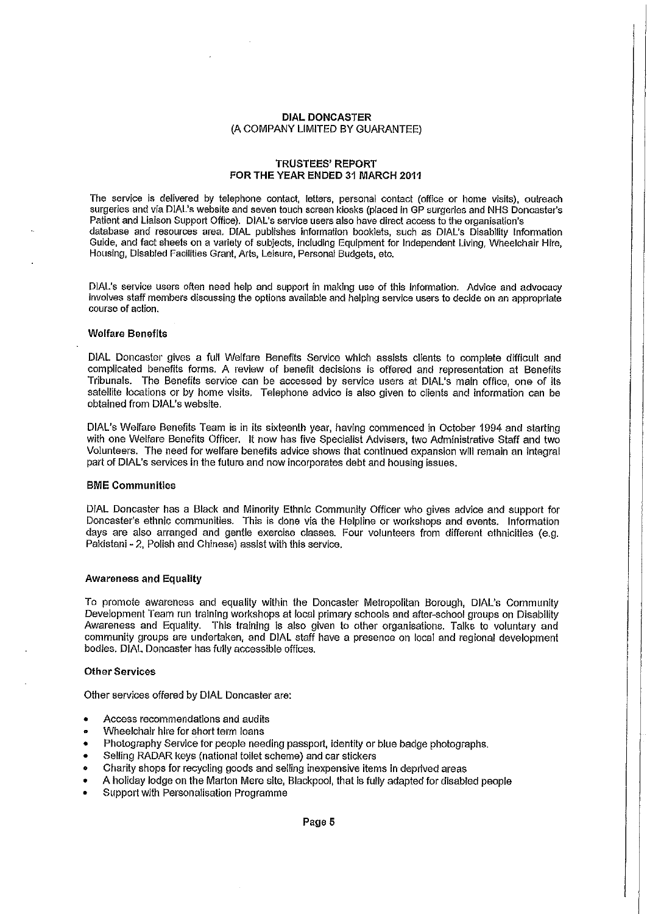### **TRUSTEES' REPORT FOR THE YEAR ENDED 31 MARCH 2011**

The service is delivered by telephone contact, letters, personal contact (office or home visits), outreach surgeries and via DIAL's webslte and seven touch screen kiosks (placed in GP surgeries and NHS Doncaster's Patient and Liaison Support Office). DIAL's service users also have direct access to the organisation's database and resources area. DIAL publishes information booklets, such as DIAL's Disability Information Guide, and fact sheets on a variety of subjects, including Equipment for Independent Living, Wheelchair Hire, Housing, Disabled Facilities Grant, Arts, Leisure, Personal Budgets, etc.

DIAL's service users often need help and support in making use of this Information. Advice and advocacy involves staff members discussing the options available and helping service users to decide on an appropriate course of action.

#### **Welfare Benefits**

DIAL Doncaster gives a full Welfare Benefits Service which assists clients to complete difficult and complicated benefits forms. A review of benefit decisions is offered and representation at Benefits Tribunals. The Benefits service can be accessed by service users at DIAL's main office, one of its satellite locations or by home visits. Telephone advice is also given to clients and information can be obtained from DIAL's website.

DIAL's Welfare Benefits Team is in its sixteenth year, having commenced in October 1994 and starting with one Welfare Benefits Officer. It now has five Specialist Advisers, two Administrative Staff and two Volunteers. The need for welfare benefits advice shows that continued expansion will remain an integral part of DIAL's services in the future and now incorporates debt and housing issues.

#### **BME Communities**

DIAL Doncaster has a Black and Minority Ethnic Community Officer who gives advice and support for Doncaster's ethnic communities. This is done via the Helpline or workshops and events. Information days are also arranged and gentle exercise classes. Four volunteers from different ethnicities (e.g. Pakistani - 2, Polish and Chinese) assist with this service.

#### **Awareness and Equality**

To promote awareness and equality within the Doncaster Metropolitan Borough, DIAL's Community Development Team run training workshops at local primary schools and after-school groups on Disability Awareness and Equality. This training is also given to other organisations. Talks to voluntary and community groups are undertaken, and DIAL staff have a presence on local and regional development bodies. DIAL Doncaster has fully accessible offices.

#### **Other Services**

Other services offered by DIAL Doncaster are:

- Access recommendations and audits
- Wheelchair hire for short term loans
- Photography Service for people needing passport, identity or blue badge photographs.
- Selling RADAR keys (national toilet scheme) and car stickers
- Charity shops for recycling goods and selling inexpensive items in deprived areas
- A holiday lodge on **the** Marton Mere site, Blackpool, that is fully adapted for disabled people
- Support with Personalisation Programme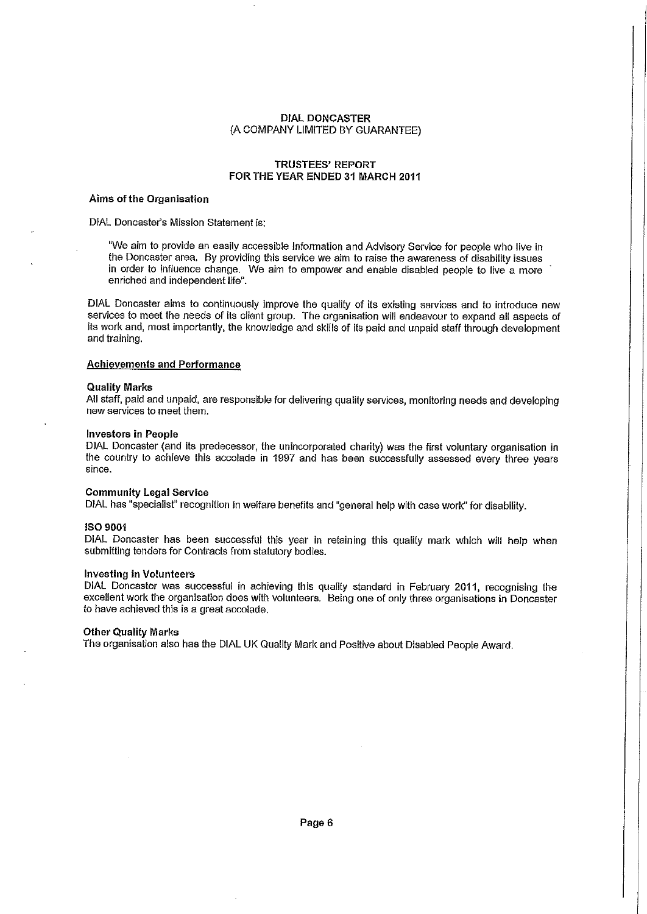#### **TRUSTEES' REPORT FOR THE YEAR ENDED 31 MARCH 2011**

#### **Aims of the Organisation**

DIAL Doncaster's Mission Statement is:

"We aim to provide an easily accessible Information and Advisory Service for people who live in the Doncaster area. By providing this service we aim to raise the awareness of disability issues in order to influence change. We aim to empower and enable disabled people to live a more enriched and independent life".

DIAL Doncaster aims to continuously improve the quality of its existing services and to introduce new services to meet the needs of its client group. The organisation will endeavour to expand all aspects of its work and, most importantly, the knowledge and skills of its paid and unpaid staff through development and training.

## **Achievements and Performance**

#### **Quality Marks**

All staff, paid and unpaid, are responsible for delivering quality services, monitoring needs and developing new services to meet them.

#### **Investors** in People

DIAL Doncaster (and its predecessor, the unincorporated charity) was the first voluntary organisation in the country to achieve this accolade in 1997 and has been successfully assessed every three years since.

#### **Community Legal Service**

DIAL has "specialist" recognition in welfare benefits and "general help with case work" for disability.

#### **ISO 9001**

**DIAL** Doncaster has been successful this year in retaining this quality mark which will help when submitting tenders for Contracts from statutory bodies.

#### **Investing in Volunteers**

DIAL Doncaster was successful in achieving this quality standard in February 2011, recognising the excellent work the organisation does with volunteers. Being one of only three organisations in Doncaster to have achieved this is a great accolade.

#### **Other Quality Marks**

The organisation also has the DIAL UK Quality Mark and Positive about Disabled People Award.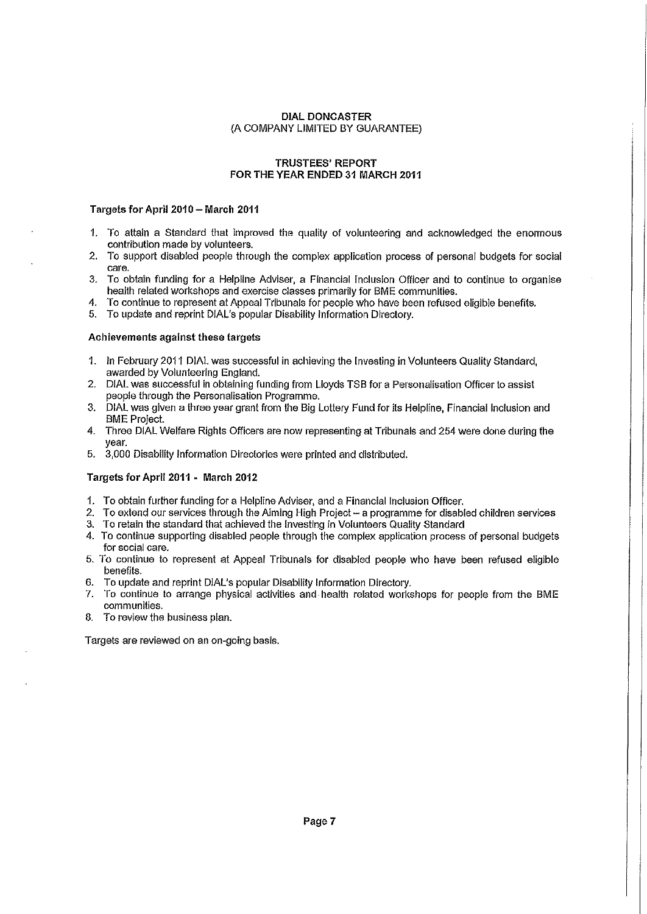## **TRUSTEES' REPORT FOR THE YEAR ENDED 31 MARCH 2011**

#### Targets for April 2010 — March 2011

- 1. To attain a Standard that improved the quality of volunteering and acknowledged the enormous contribution made by volunteers.
- 2. To support disabled people through the complex application process of personal budgets for social care.
- 3. To obtain funding for a Helpline Adviser, a Financial Inclusion Officer and to continue to organise health related workshops and exercise classes primarily for BME communities.
- 4. To continue to represent at Appeal Tribunals for people who have been refused eligible benefits.
- 5. To update and reprint DIAL's popular Disability Information Directory.

#### **Achievements against these targets**

- 1. In February 2011 DIAL was successful in achieving the Investing in Volunteers Quality Standard, awarded by Volunteering England.
- 2. DIAL was successful in obtaining funding from Lloyds TSB for a Personalisation Officer to assist people through the Personalisation Programme.
- 3. DIAL was given a three year grant from the Big Lottery Fund for its Helpline, Financial Inclusion and **BME Project.**
- 4. Three DIAL Welfare Rights Officers are now representing at Tribunals and 254 were done during the year.
- 5. 3,000 Disability Information Directories were printed and distributed.

## **Targets for April 2011 - March 2012**

- 1. To obtain further funding for a Helpline Adviser, and a Financial Inclusion Officer.
- 2. To extend our services through the Aiming High Project -- a programme for disabled children services
- 3. To retain the standard that achieved the Investing in Volunteers Quality Standard
- 4. To continue supporting disabled people through the complex application process of personal budgets for social care.
- 5. To continue to represent at Appeal Tribunals for disabled people who have been refused eligible benefits,
- 6. To update and reprint DIAL's popular Disability Information Directory.
- 7. To continue to arrange physical activities and health related workshops for people from the BME communities.
- 8. To review the business plan.

Targets are reviewed on an on-going basis.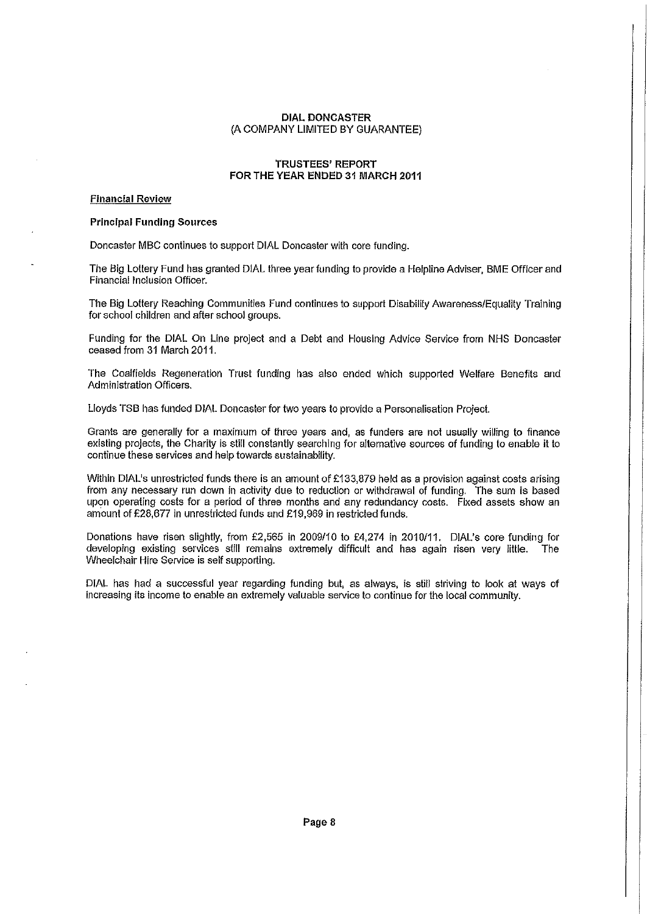## **TRUSTEES' REPORT FOR THE YEAR ENDED 31 MARCH 2011**

#### **Financial Review**

#### **Principal Funding Sources**

Doncaster MBC continues to support DIAL Doncaster with core funding.

The Big Lottery Fund has granted DIAL three year funding to provide a Helpline Adviser, BME Officer and Financial Inclusion Officer.

The Big Lottery Reaching Communities Fund continues to support Disability Awareness/Equality Training for school children and after school groups.

Funding for the DIAL On Line project and a Debt and Housing Advice Service from **NHS Doncaster ceased** from 31 March 2011.

The Coalfields Regeneration Trust funding has also ended which supported Welfare Benefits and Administration Officers.

Lloyds TSB has funded DIAL Doncaster for two years to provide a Personalisation Project.

Grants are generally for a maximum of three years and, as funders are not usually willing to finance existing projects, the Charity is still constantly searching for alternative sources of funding to enable it to continue these services and help towards sustainability.

Within DIAL's unrestricted funds there is an amount of £133,879 held as a provision against costs arising from any necessary run down in activity due to reduction or withdrawal of funding. The sum is based upon operating costs for a period of three months and any redundancy costs. Fixed assets show an amount of £28,677 in unrestricted funds and £19,969 in restricted funds.

Donations have risen slightly, from £2,565 in 2009/10 to £4,274 in 2010111. DIAL's core funding for developing existing services still remains extremely difficult and has again risen very little. The Wheelchair Hire Service is self supporting.

DIAL has had a successful year regarding funding but, as always, is still striving to look at ways of increasing its income to enable an extremely valuable service to continue for the local community.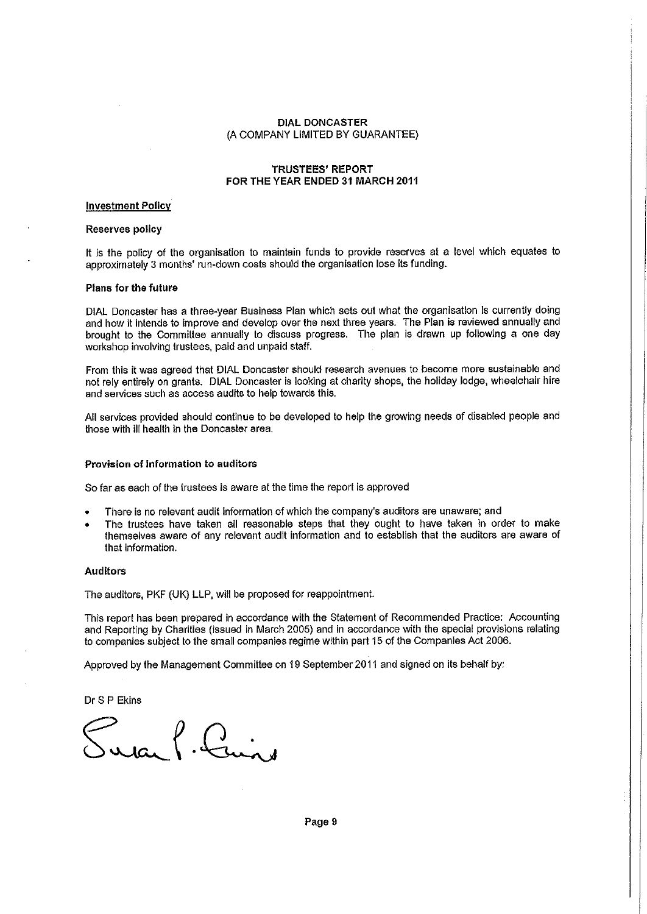### **TRUSTEES' REPORT FOR THE YEAR ENDED 31 MARCH 2011**

#### **Investment Policy**

#### **Reserves policy**

**It** is the policy of the organisation to maintain funds to provide reserves at a level which equates to approximately 3 months' run-down costs should the organisation lose its funding.

#### **Plans for the future**

DIAL Doncaster has a three-year Business Plan which sets out what the organisation is currently doing and how it intends to improve and develop over the next three years. The Plan is reviewed annually and brought to the Committee annually to discuss progress. The plan Is drawn up following a one day workshop involving trustees, paid and unpaid staff.

From this it was agreed that DIAL Doncaster should research avenues to become more sustainable and not rely entirely on grants. DIAL Doncaster is looking at charity shops, the holiday lodge, wheelchair hire and services such as access audits to help towards this.

All services provided should continue to be developed to help the growing needs of disabled people and those with ill health in the Doncaster area.

#### **Provision of Information to auditors**

So far as each of the trustees is aware at the time the report is approved

- There is no relevant audit information of which the company's auditors are unaware; and
- The trustees have taken all reasonable steps that they ought to have taken in order to make themselves aware of any relevant audit information and to establish that the auditors are aware of that information.

#### **Auditors**

The auditors, PKF (UK) LLP, will be proposed for reappointment.

This report has been prepared in accordance with the Statement of Recommended Practice: Accounting and Reporting by Charities (issued in March 2005) and in accordance with the special provisions relating to companies subject to the small companies regime within part 15 of the Companies Act 2006.

Approved by the Management Committee on 19 September 2011 and signed on its behalf by:

Dr S P Ekins

Juan P. Cuiro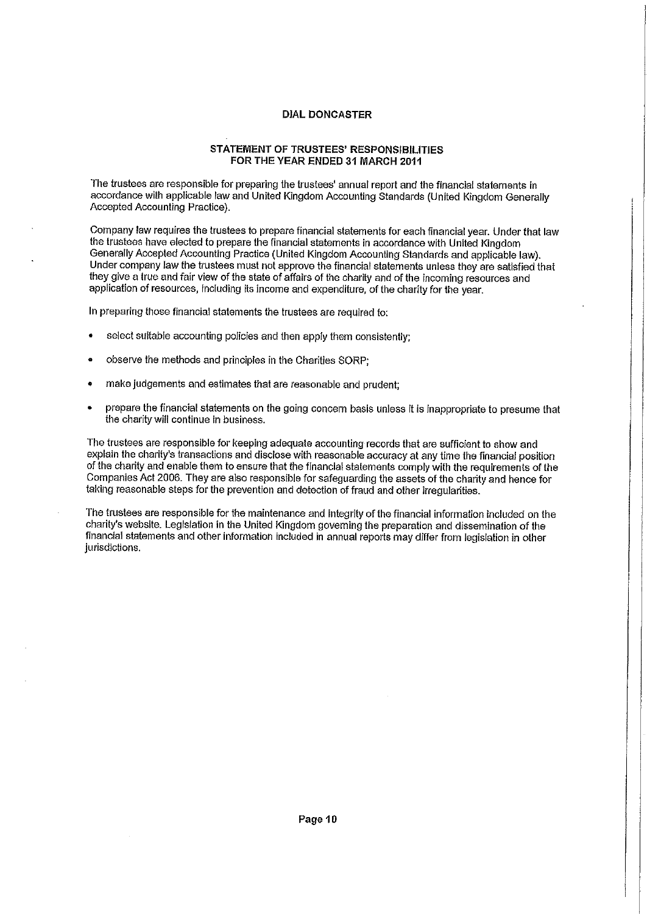## DIAL DONCASTER

## STATEMENT OF TRUSTEES' RESPONSIBILITIES FOR THE YEAR ENDED 31 MARCH 2011

The trustees are responsible for preparing the trustees' annual report and the financial statements in accordance with applicable law and United Kingdom Accounting Standards (United Kingdom Generally Accepted Accounting Practice).

Company law requires the trustees to prepare financial statements for each financial year. Under that law the trustees have elected to prepare the financial statements in accordance with United Kingdom Generally Accepted Accounting Practice (United Kingdom Accounting Standards and applicable law). Under company law the trustees must not approve the financial statements unless they are satisfied that they give a true and fair view of the state of affairs of the charity and of the incoming resources and application of resources, including its income and expenditure, of the charity for the year.

In preparing those financial statements the trustees are required to:

- select suitable accounting policies and then apply them consistently:
- observe the methods and principles in the Charities SORP;
- make judgements and estimates that are reasonable and prudent;
- prepare the financial statements on the going concern basis unless it is inappropriate to presume that the charity will continue in business.

The trustees are responsible for keeping adequate accounting records that are sufficient to show and explain the charity's transactions and disclose with reasonable accuracy at any time the financial position of the charity and enable them to ensure that the financial statements comply with the requirements of the Companies Act 2006. They are also responsible for safeguarding the assets of the charity and hence for taking reasonable steps for the prevention and detection of fraud and other irregularities.

The trustees are responsible for the maintenance and integrity of the financial information included on the charity's website. Legislation in the United Kingdom governing the preparation and dissemination of the financial statements and other information included in annual reports may differ from legislation in other jurisdictions.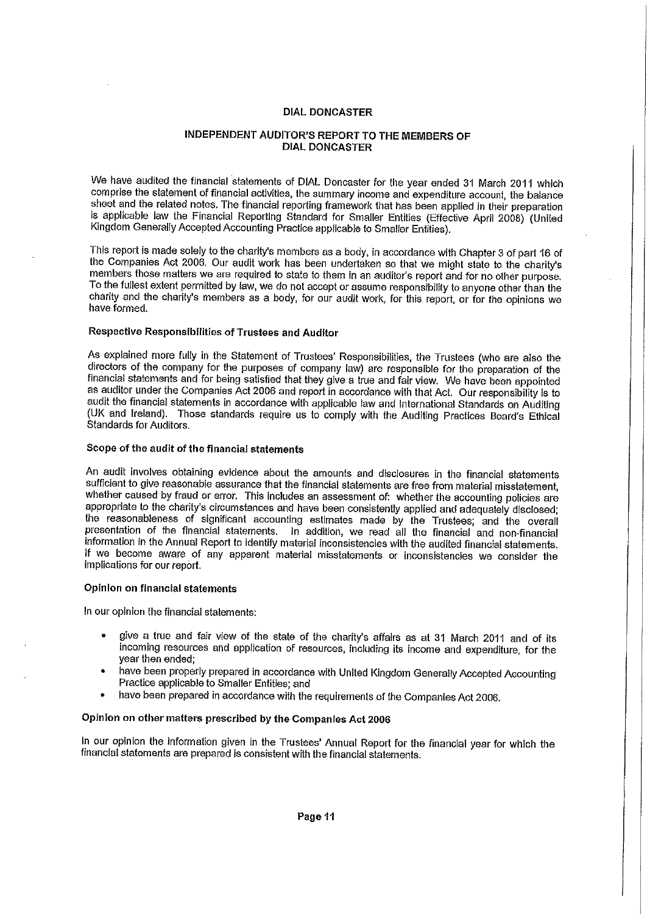## DIAL DONCASTER

# INDEPENDENT AUDITOR'S REPORT TO THE MEMBERS OF DIAL DONCASTER

We have audited the financial statements of DIAL Doncaster for the year ended 31 March 2011 which comprise the statement of financial activities, the summary income and expenditure account, the balance sheet and the related notes. The financial reporting framework that has been applied in their preparation is applicable law the Financial Reporting Standard for Smaller Entities (Effective April 2008) (United Kingdom Generally Accepted Accounting Practice applicable to Smaller Entities).

This report is made solely to the charity's members as a body, in accordance with Chapter 3 of part 16 of the Companies Act 2006. Our audit work has been undertaken so that we might state to the charity's members those matters we are required to state to them in an auditor's report and for no other purpose. To the fullest extent permitted by law, we do not accept or assume responsibility to anyone other than the charity and the charity's members as a body, for our audit work, for this report, or for the opinions we have formed.

## Respective Responsibilities of Trustees and Auditor

As explained more fully in the Statement of Trustees' Responsibilities, the Trustees (who are also the directors of the company for the purposes of company law) are responsible for the preparation of the financial statements and for being satisfied that they give a true and fair view. We have been appointed as auditor under the Companies Act 2006 and report in accordance with that Act. Our responsibility is to audit the financial statements in accordance with applicable law and International Standards on Auditing (UK and Ireland). Those standards require us to comply with the Auditing Practices Board's Ethical Standards for Auditors.

#### Scope of the audit of the financial statements

An audit involves obtaining evidence about the amounts and disclosures in the financial statements sufficient to give reasonable assurance that the financial statements are free from material misstatement, whether caused by fraud or error. This includes an assessment of: whether the accounting policies are appropriate to the charity's circumstances and have been consistently applied and adequately disclosed; the reasonableness of significant accounting estimates made by the Trustees; and the overall presentation of the financial statements. In addition, we read all the financial and non-financial information in the Annual Report to identify material inconsistencies with the audited financial statements. If we become *aware* of any apparent material misstatements or inconsistencies we consider the implications for our report.

#### Opinion on financial statements

In our opinion the financial statements:

- give a true and fair view of the state of the charity's affairs as at 31 March 2011 and of its incoming resources and application of resources, including its income and expenditure, for the year then ended;
- have been properly prepared in accordance with United Kingdom Generally Accepted Accounting Practice applicable to Smaller Entities; and
- have been prepared in accordance with the requirements of the Companies Act 2006.

# Opinion on other matters prescribed by the Companies Act 2006

In our opinion the information given in the Trustees' Annual Report for the financial year for which the financial statements are prepared is consistent with the financial statements.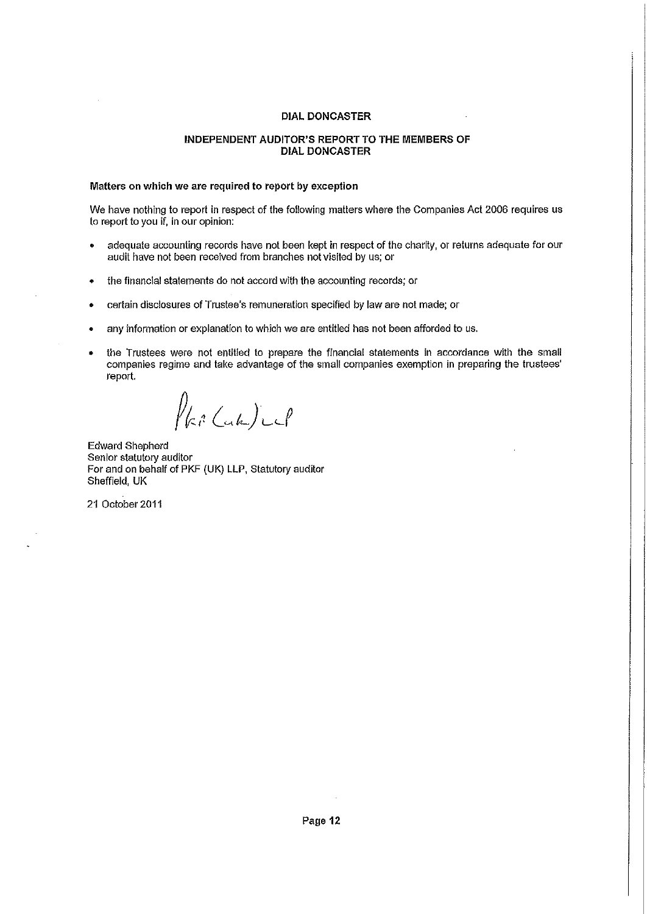## DIAL DONCASTER

## INDEPENDENT AUDITOR'S REPORT TO THE MEMBERS OF DIAL DONCASTER

## Matters on which we are required to report by exception

We have nothing to report in respect of the following matters where the Companies Act 2006 requires us to report to you if, in our opinion:

- adequate accounting records have not been kept in respect of the charity, or returns adequate for our audit have not been received from branches not visited by us; or
- the financial statements do not accord with the accounting records; or
- certain disclosures of Trustee's remuneration specified by law are not made; or
- any information or explanation to which we are entitled has not been afforded to us.
- the Trustees were not entitled to prepare the financial statements in accordance with the small companies regime and take advantage of the small companies exemption in preparing the trustees' report.

 $\mathcal{V}$ ki (uk) Ll

Edward Shepherd Senior statutory auditor For and on behalf of PKF (UK) LLP, Statutory auditor Sheffield, UK

21 October 2011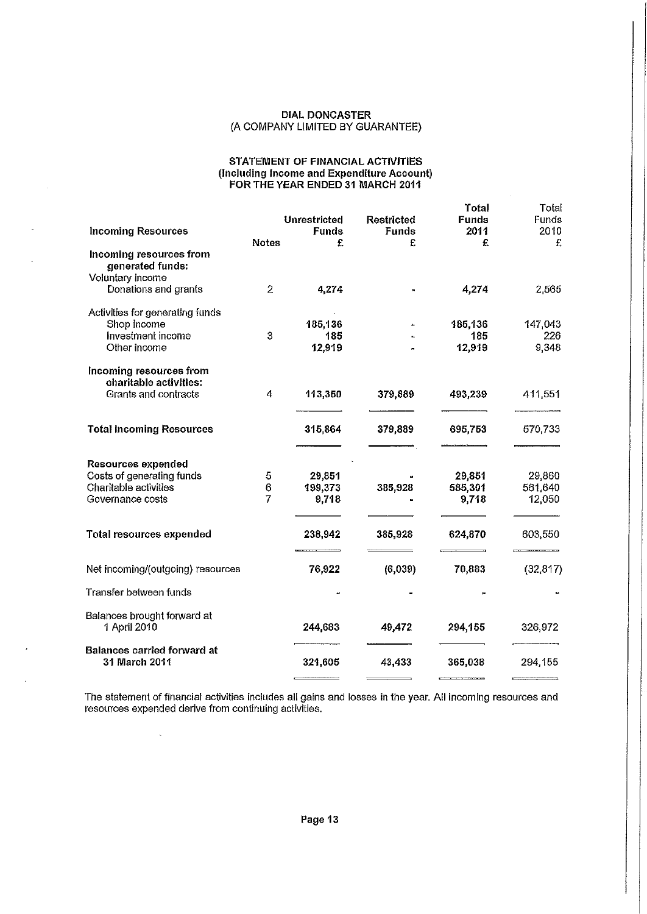## STATEMENT OF FINANCIAL ACTIVITIES (Including Income and Expenditure Account) FOR THE YEAR ENDED 31 MARCH 2011

|                                                                 |                |                              |                     | <b>Total</b>   | Total          |
|-----------------------------------------------------------------|----------------|------------------------------|---------------------|----------------|----------------|
| <b>Incoming Resources</b>                                       |                | Unrestricted<br><b>Funds</b> | Restricted<br>Funds | Funds<br>2011  | Funds<br>2010  |
|                                                                 | <b>Notes</b>   | £                            | £                   | £              | £              |
| Incoming resources from<br>generated funds:<br>Voluntary income |                |                              |                     |                |                |
| Donations and grants                                            | $\mathbf{2}$   | 4,274                        |                     | 4,274          | 2,565          |
| Activities for generating funds                                 |                |                              |                     |                |                |
| Shop income<br>Investment income                                | 3              | 185,136<br>185               |                     | 185,136<br>185 | 147,043<br>226 |
| Other income                                                    |                | 12,919                       |                     | 12,919         | 9,348          |
| Incoming resources from<br>charitable activities:               |                |                              |                     |                |                |
| Grants and contracts                                            | 4              | 113,350                      | 379,889             | 493,239        | 411,551        |
| <b>Total Incoming Resources</b>                                 |                | 315,864                      | 379,889             | 695,753        | 570,733        |
| Resources expended                                              |                |                              |                     |                |                |
| Costs of generating funds                                       | 5              | 29,851                       |                     | 29,851         | 29,860         |
| Charitable activities                                           | 6              | 199,373                      | 385,928             | 585,301        | 561,640        |
| Governance costs                                                | $\overline{7}$ | 9,718                        |                     | 9,718          | 12,050         |
| Total resources expended                                        |                | 238,942                      | 385,928             | 624,870        | 603,550        |
| Net incoming/(outgoing) resources                               |                | 76,922                       | (6,039)             | 70,883         | (32, 817)      |
| Transfer between funds                                          |                |                              |                     |                |                |
| Balances brought forward at<br>1 April 2010                     |                | 244,683                      | 49,472              | 294,155        | 326,972        |
| <b>Balances carried forward at</b><br>31 March 2011             |                | 321,605                      | 43,433              | 365,038        | 294,155        |
|                                                                 |                |                              |                     |                |                |

The statement of financial activities includes all gains and losses in the year. All incoming resources and resources expended derive from continuing activities.

 $\mathbb{R}^2$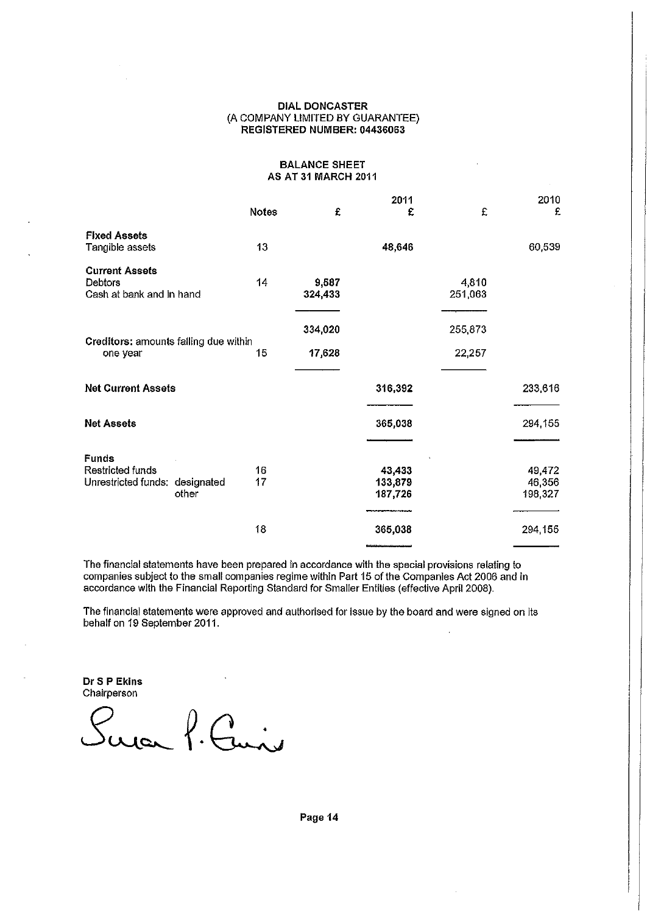## DIAL DONCASTER (A COMPANY LIMITED BY GUARANTEE) REGISTERED NUMBER: 04436063

# BALANCE SHEET AS AT 31 MARCH 2011

|                                                                             | Notes    | £                | 2011<br>£                    | £                | 2010<br>£                   |
|-----------------------------------------------------------------------------|----------|------------------|------------------------------|------------------|-----------------------------|
| <b>Fixed Assets</b><br>Tangible assets                                      | 13       |                  | 48,646                       |                  | 60,539                      |
| <b>Current Assets</b><br>Debtors<br>Cash at bank and in hand                | 14       | 9,587<br>324,433 |                              | 4,810<br>251,063 |                             |
| Creditors: amounts falling due within                                       |          | 334,020          |                              | 255,873          |                             |
| one year                                                                    | 15       | 17,628           |                              | 22,257           |                             |
| <b>Net Current Assets</b>                                                   |          |                  | 316,392                      |                  | 233,616                     |
| <b>Net Assets</b>                                                           |          |                  | 365,038                      |                  | 294,155                     |
| <b>Funds</b><br>Restricted funds<br>Unrestricted funds: designated<br>other | 16<br>17 |                  | 43,433<br>133,879<br>187,726 |                  | 49,472<br>46,356<br>198,327 |
|                                                                             | 18       |                  | 365,038                      |                  | 294 155                     |

The financial statements have been prepared in accordance with the special provisions relating to companies subject to the small companies regime within Part 15 of the Companies Act 2006 and in accordance with the Financial Reporting Standard for Smaller Entities (effective April 2008).

The financial statements were approved and authorised for issue by the board and were signed on Its behalf on 19 September 2011.

Dr S P Ekins

Chairperson<br>Sura P. Cui

Page 14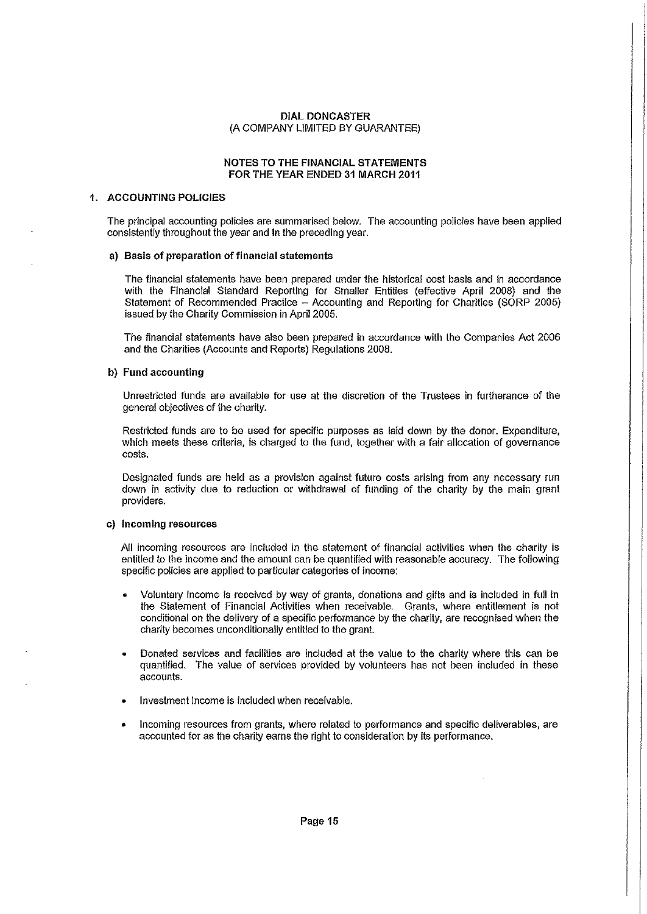## **NOTES TO THE FINANCIAL STATEMENTS FOR THE YEAR ENDED 31 MARCH 2011**

## **I. ACCOUNTING POLICIES**

The principal accounting policies are summarised below. The accounting policies have been applied consistently throughout the year and in the preceding year.

#### **a) Basis of preparation of financial statements**

The financial statements have been prepared under the historical cost basis and in accordance with the Financial Standard Reporting for Smaller Entitles (effective April 2008) and the Statement of Recommended Practice — Accounting and Reporting for Charities (SORP 2005) issued by the Charity Commission in April 2005.

The financial statements have also been prepared in accordance with the Companies Act 2006 and the Charities (Accounts and Reports) Regulations 2008.

#### **b) Fund accounting**

Unrestricted funds are available for use at the discretion of the Trustees in furtherance of the general objectives of the charity.

Restricted funds are to be used for specific purposes as laid down by the donor. Expenditure, which meets these criteria, is charged to the fund, together with a fair allocation of governance costs.

Designated funds are held as a provision against future costs arising from any necessary run down in activity due to reduction or withdrawal of funding of the charity by the main grant providers.

#### **c) Incoming resources**

All incoming resources are included in the statement of financial activities when the charity is entitled to the income and the amount can be quantified with reasonable accuracy. The following specific policies are applied to particular categories of income:

- Voluntary income is received by way of grants, donations and gifts and is included in full in the Statement of Financial Activities when receivable. Grants, where entitlement is not conditional on the delivery of a specific performance by the charity, are recognised when the charity becomes unconditionally entitled to the grant.
- Donated services and facilities are included at the value to the charity where this can be quantified. The value of services provided by volunteers has not been included in these accounts.
- Investment income is included when receivable.
- Incoming resources from grants, where related to performance and specific deliverables, are accounted for as the charity earns the right to consideration by its performance.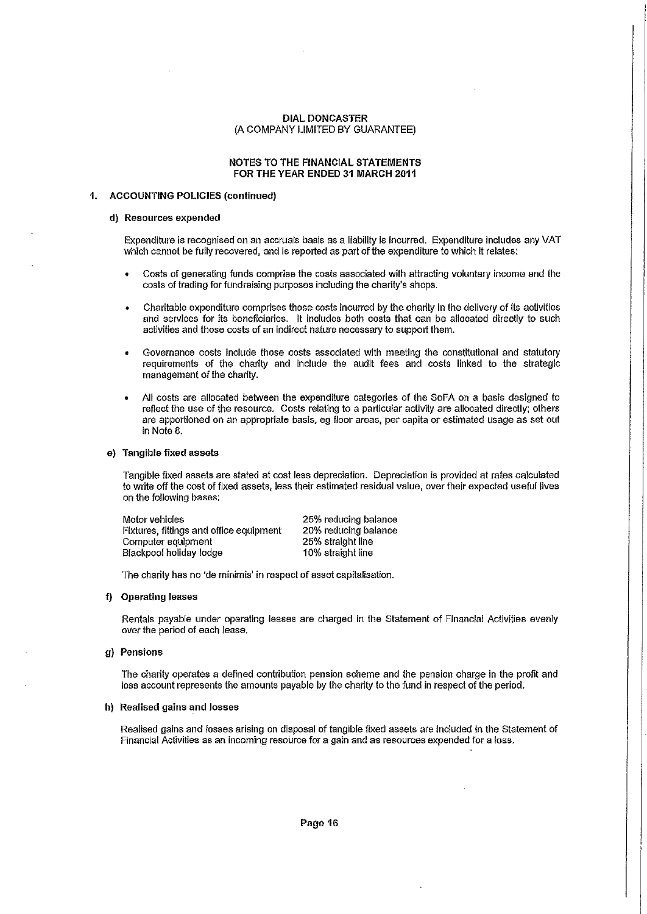#### **NOTES TO THE FINANCIAL STATEMENTS FOR THE YEAR ENDED 31 MARCH 2011**

#### **1. ACCOUNTING POLICIES (continued)**

#### **d) Resources expended**

Expenditure is recognised on an accruals basis as a liability is incurred. Expenditure includes any VAT which cannot be fully recovered, and is reported as part of the expenditure to which it relates:

- Costs of generating funds comprise the costs associated with attracting voluntary income and the costs of trading for fundraising purposes including the charity's shops.
- Charitable expenditure comprises those costs incurred by the charity in the delivery of its activities and services for its beneficiaries. It includes both costs that can be allocated directly to such activities and those costs of an indirect nature necessary to support them.
- Governance costs include those costs associated with meeting the constitutional and statutory requirements of the charity and include the audit fees and costs linked to the strategic management of the charity.
- All costs are allocated between the expenditure categories of the SoFA on a basis designed to reflect the use of the resource. Costs relating to a particular activity are allocated directly; others are apportioned on an appropriate basis, eg floor areas, per capita or estimated usage as set out in Note 8.

#### **a) Tangible fixed assets**

Tangible fixed assets are stated at cost less depreciation. Depreciation is provided at rates calculated to write off the cost of fixed assets, less their estimated residual value, over their expected useful lives on the following bases:

| Motor vehicles                          | 25% reducing balance |
|-----------------------------------------|----------------------|
| Fixtures, fittings and office equipment | 20% reducing balance |
| Computer equipment                      | 25% straight line    |
| Blackpool holiday lodge                 | 10% straight line    |

The charity has no 'de minimis' in respect of asset capitalisation.

#### **f) Operating leases**

Rentals payable under operating leases are charged in the Statement of Financial Activities evenly over the period of each lease.

#### **g) Pensions**

The charity operates a defined contribution pension scheme and the pension charge in the profit and loss account represents the amounts payable by the charity to the fund in respect of the period.

#### **h) Realised gains and losses**

Realised gains and losses arising on disposal of tangible fixed assets are Included In the Statement of Financial Activities as an incoming resource for a gain and as resources expended for a foss.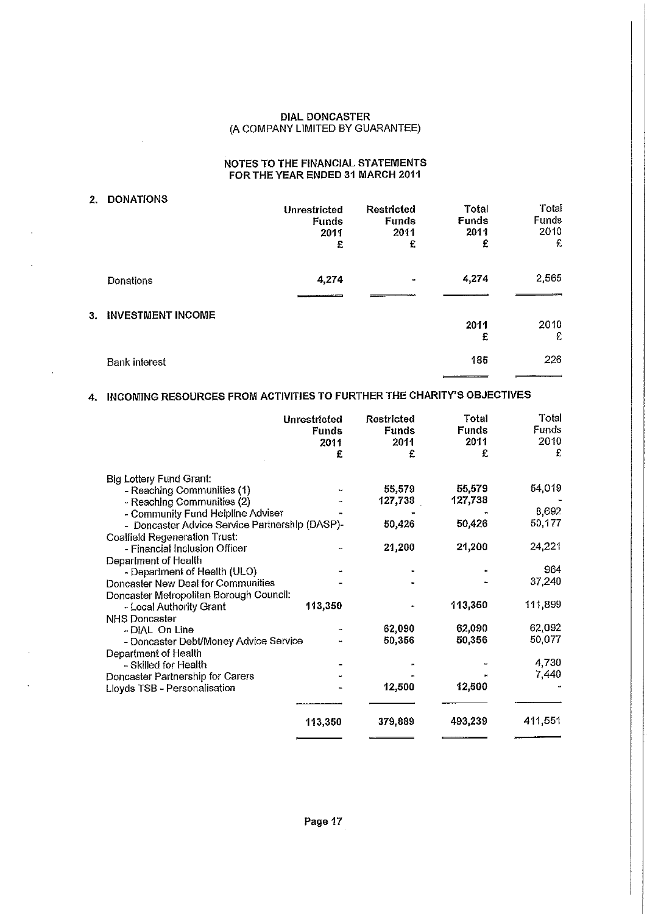# **NOTES TO THE FINANCIAL STATEMENTS FOR THE YEAR ENDED 31 MARCH 2011**

| 2. | <b>DONATIONS</b>         | <b>Unrestricted</b><br>Funds<br>2011<br>£ | Restricted<br><b>Funds</b><br>2011<br>£ | Total<br><b>Funds</b><br>2011<br>£ | Total<br><b>Funds</b><br>2010<br>£ |
|----|--------------------------|-------------------------------------------|-----------------------------------------|------------------------------------|------------------------------------|
|    | Donations                | 4,274                                     | $\blacksquare$                          | 4,274                              | 2,565                              |
| 3. | <b>INVESTMENT INCOME</b> |                                           |                                         | 2011<br>£                          | 2010<br>£                          |
|    | <b>Bank interest</b>     |                                           |                                         | 185                                | 226                                |

# **4. INCOMING RESOURCES FROM ACTIVITIES TO FURTHER THE CHARITY'S OBJECTIVES**

|                                                | <b>Unrestricted</b><br>Funds | Restricted<br><b>Funds</b> | Total<br><b>Funds</b> | Total<br><b>Funds</b> |
|------------------------------------------------|------------------------------|----------------------------|-----------------------|-----------------------|
|                                                | 2011                         | 2011                       | 2011                  | 2010                  |
|                                                | £                            | £                          | £                     | £                     |
| <b>Big Lottery Fund Grant:</b>                 |                              |                            |                       |                       |
| - Reaching Communities (1)                     |                              | 55,579                     | 55,579                | 54,019                |
| - Reaching Communities (2)                     |                              | 127,738                    | 127,738               |                       |
| - Community Fund Helpline Adviser              |                              |                            |                       | 8,692                 |
| - Doncaster Advice Service Partnership (DASP)- |                              | 50,426                     | 50,426                | 50,177                |
| <b>Coalfield Regeneration Trust:</b>           |                              |                            |                       |                       |
| - Financial Inclusion Officer                  |                              | 21,200                     | 21,200                | 24,221                |
| Department of Health                           |                              |                            |                       |                       |
| - Department of Health (ULO)                   |                              |                            |                       | 964                   |
| Doncaster New Deal for Communities             |                              |                            |                       | 37,240                |
| Doncaster Metropolitan Borough Council:        |                              |                            |                       |                       |
| - Local Authority Grant                        | 113,350                      |                            | 113,350               | 111,899               |
| <b>NHS Doncaster</b>                           |                              |                            |                       |                       |
| - DIAL On Line                                 |                              | 62,090                     | 62,090                | 62,092                |
| - Doncaster Debt/Money Advice Service          |                              | 50,356                     | 50.356                | 50,077                |
| Department of Health                           |                              |                            |                       |                       |
| - Skilled for Health                           |                              |                            |                       | 4,730                 |
| Doncaster Partnership for Carers               |                              |                            |                       | 7,440                 |
| Lloyds TSB - Personalisation                   |                              | 12,500                     | 12,500                |                       |
|                                                | 113,350                      | 379,889                    | 493,239               | 411,551               |
|                                                |                              |                            |                       |                       |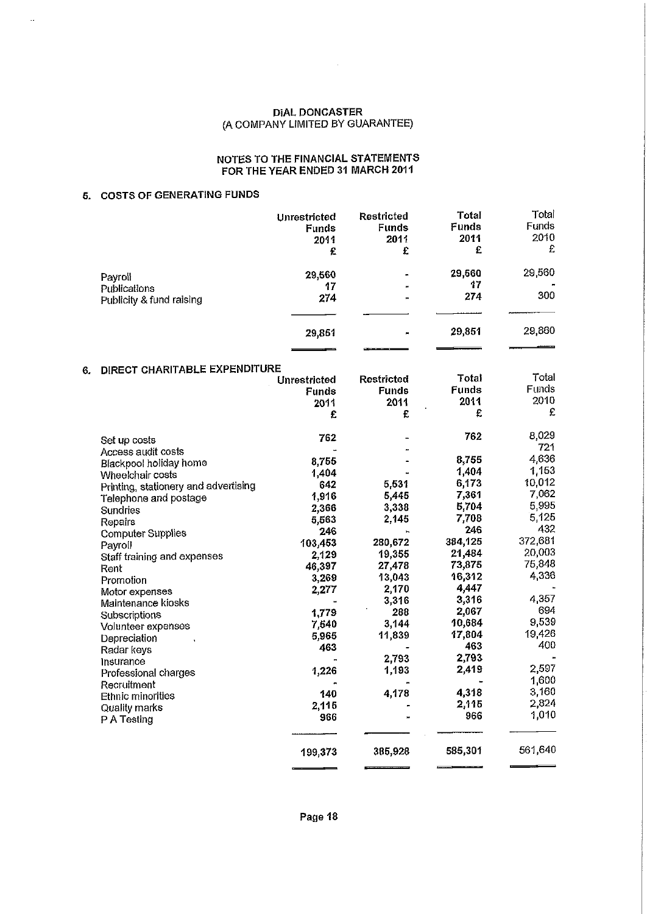$\mathcal{L}^{\text{max}}_{\text{max}}$  , where  $\mathcal{L}^{\text{max}}_{\text{max}}$ 

#### NOTES TO THE FINANCIAL STATEMENTS FOR THE YEAR ENDED 31 MARCH 2011

# 5. COSTS OF GENERATING FUNDS

 $\hat{\mathcal{A}}$ 

|                                                     | Unrestricted<br><b>Funds</b><br>2011<br>£ | <b>Restricted</b><br>Funds<br>2011<br>£            | Total<br>Funds<br>2011<br>£ | Total<br><b>Funds</b><br>2010<br>£ |
|-----------------------------------------------------|-------------------------------------------|----------------------------------------------------|-----------------------------|------------------------------------|
| Payroll<br>Publications<br>Publicity & fund raising | 29,560<br>17<br>274                       | $\blacksquare$<br>$\blacksquare$<br>$\blacksquare$ | 29,560<br>17<br>274         | 29,560<br>$\blacksquare$<br>300    |
|                                                     |                                           |                                                    |                             |                                    |
|                                                     | 29,851                                    | ×                                                  | 29,851                      | 29,860                             |
|                                                     |                                           |                                                    |                             | and the first party of             |

# 6. DIRECT CHARITABLE EXPENDITURE

|                                      | Unrestricted<br><b>Funds</b> | Restricted<br><b>Funds</b> | Total<br><b>Funds</b> | Total<br>Funds |
|--------------------------------------|------------------------------|----------------------------|-----------------------|----------------|
|                                      | 2011                         | 2011                       | 2011                  | 2010           |
|                                      | £                            | £                          | £                     | £              |
| Set up costs                         | 762                          |                            | 762                   | 8,029          |
| Access audit costs                   |                              |                            |                       | 721            |
| Blackpool holiday home               | 8,755                        |                            | 8,755                 | 4,636          |
| Wheelchair costs                     | 1,404                        |                            | 1,404                 | 1,153          |
| Printing, stationery and advertising | 642                          | 5,531                      | 6,173                 | 10,012         |
| Telephone and postage                | 1,916                        | 5,445                      | 7,361                 | 7,062          |
| Sundries                             | 2,366                        | 3,338                      | 5,704                 | 5,995          |
| Repairs                              | 5,563                        | 2,145                      | 7,708                 | 5,125          |
| <b>Computer Supplies</b>             | 246                          |                            | 246                   | 432            |
| Payroll                              | 103,453                      | 280,672                    | 384,125               | 372,681        |
| Staff training and expenses          | 2,129                        | 19,355                     | 21,484                | 20,003         |
| Rent                                 | 46,397                       | 27,478                     | 73,875                | 75,848         |
| Promotion                            | 3,269                        | 13,043                     | 16,312                | 4,336          |
| Motor expenses                       | 2,277                        | 2,170                      | 4,447                 |                |
| Maintenance kiosks                   |                              | 3,316                      | 3,316                 | 4,357          |
| Subscriptions                        | 1,779                        | 288                        | 2,067                 | 694            |
|                                      | 7,540                        | 3,144                      | 10,684                | 9,539          |
| Volunteer expenses                   | 5,965                        | 11,839                     | 17,804                | 19,426         |
| Depreciation                         | 463                          |                            | 463                   | 400            |
| Radar keys                           |                              | 2,793                      | 2,793                 |                |
| Insurance                            | 1,226                        | 1,193                      | 2,419                 | 2,597          |
| Professional charges                 |                              |                            |                       | 1,600          |
| Recruitment                          | 140                          | 4,178                      | 4,318                 | 3,160          |
| Ethnic minorities                    | 2,115                        |                            | 2,115                 | 2,824          |
| Quality marks                        |                              |                            | 966                   | 1,010          |
| P A Testing                          | 966                          |                            |                       |                |
|                                      | 199,373                      | 385,928                    | 585,301               | 561,640        |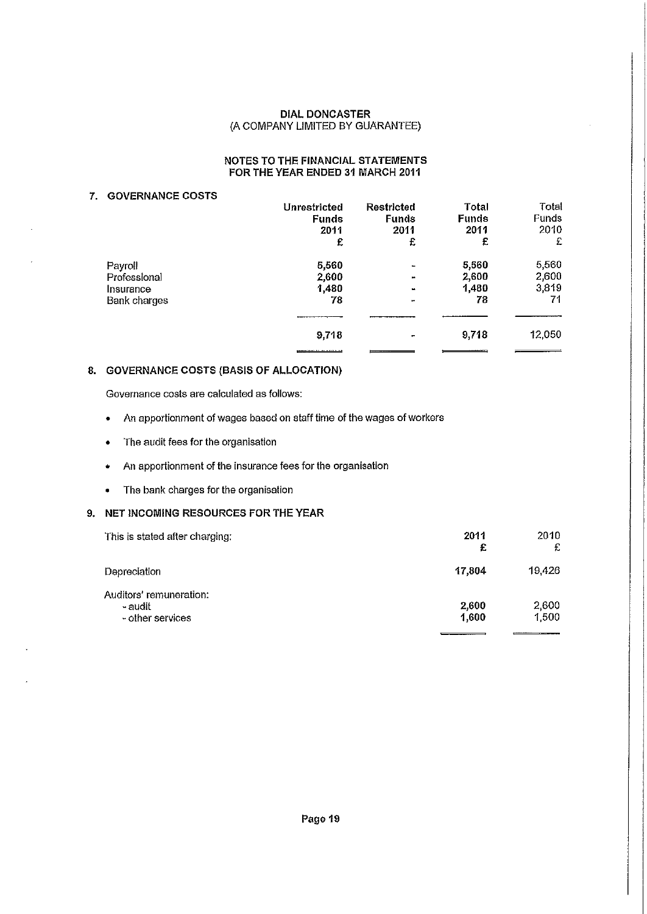## **NOTES TO THE FINANCIAL STATEMENTS FOR THE YEAR ENDED 31 MARCH 2011**

## **7. GOVERNANCE COSTS**

|              | Unrestricted | Restricted     | Total        | Total  |
|--------------|--------------|----------------|--------------|--------|
|              | <b>Funds</b> | <b>Funds</b>   | <b>Funds</b> | Funds  |
|              | 2011         | 2011           | 2011         | 2010   |
|              | £            | £              | £            | £      |
| Payroll      | 5,560        | $\blacksquare$ | 5,560        | 5,560  |
| Professional | 2,600        |                | 2,600        | 2,600  |
| Insurance    | 1,480        |                | 1,480        | 3,819  |
| Bank charges | 78           | w              | 78           | 71     |
|              | 9,718        | ÷              | 9,718        | 12,050 |

# **8. GOVERNANCE COSTS (BASIS OF ALLOCATION)**

Governance costs are calculated as follows:

- An apportionment of wages based on staff time of the wages of workers
- The audit fees for the organisation
- An apportionment of the insurance fees for the organisation
- The bank charges for the organisation

# **9. NETINCOMING RESOURCES FOR THE YEAR**

| This is stated after charging:                          | 2011<br>£      | 2010<br>£      |
|---------------------------------------------------------|----------------|----------------|
| Depreciation                                            | 17,804         | 19,426         |
| Auditors' remuneration:<br>⊶audit -<br>- other services | 2,600<br>1,600 | 2,600<br>1,500 |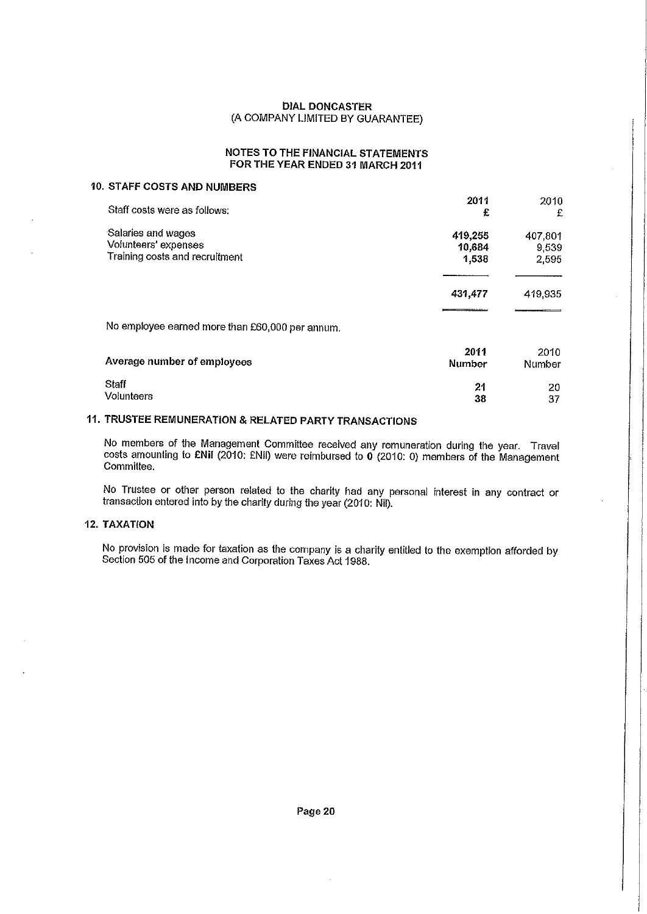# **NOTES TO THE FINANCIAL STATEMENTS FOR THE YEAR ENDED 31 MARCH 2011**

## **10. STAFF COSTS AND NUMBERS**

|                                                 | 2011    | 2010    |
|-------------------------------------------------|---------|---------|
| Staff costs were as follows:                    | £       | £       |
| Salaries and wages                              | 419.255 | 407,801 |
| Volunteers' expenses                            | 10,684  | 9,539   |
| Training costs and recruitment                  | 1,538   | 2,595   |
|                                                 | 431,477 | 419,935 |
| No employee earned more than £60,000 per annum. |         |         |
|                                                 | 2011    | 2010    |
| Average number of employees                     | Number  | Number  |
| Staff<br>.                                      | 21      | 20      |

## **11. TRUSTEE REMUNERATION & RELATED PARTY TRANSACTIONS**

No members of the Management Committee received any remuneration during the year. Travel costs amounting to £Nil (2010: £Nil) were reimbursed to 0 (2010: 0) members of the Management Committee.

Volunteers **38** 37

No Trustee or other person related to the charity had any personal interest in any contract or transaction entered into by the charity during the year (2010: Nil).

## **12. TAXATION**

No provision is made for taxation as the company is a charity entitled to the exemption afforded by Section 505 of the Income and Corporation Taxes Act 1988.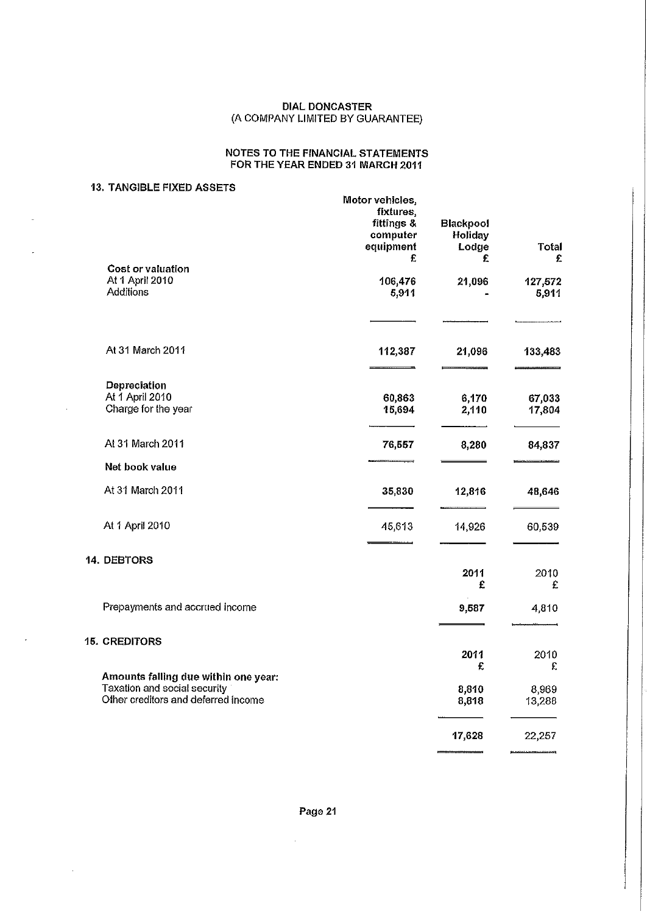#### NOTES TO THE FINANCIAL STATEMENTS FOR THE YEAR ENDED 31 MARCH 2011

# 13. TANGIBLE FIXED ASSETS

 $\overline{a}$ 

 $\ddot{\phantom{0}}$ 

 $\mathcal{L}$ 

 $\mathcal{L}$ 

|                                      | Motor vehicles, |                  |              |
|--------------------------------------|-----------------|------------------|--------------|
|                                      | fixtures,       |                  |              |
|                                      | fittings &      | <b>Blackpool</b> |              |
|                                      | computer        | Holiday          |              |
|                                      | equipment       | Lodge            | <b>Total</b> |
|                                      | £               | £                | £            |
| <b>Cost or valuation</b>             |                 |                  |              |
| At 1 April 2010                      | 106,476         | 21,096           | 127,572      |
| Additions                            | 5,911           |                  | 5,911        |
|                                      |                 |                  |              |
| At 31 March 2011                     | 112,387         | 21,096           | 133,483      |
| Depreciation                         |                 |                  |              |
| At 1 April 2010                      | 60,863          | 6,170            | 67,033       |
| Charge for the year                  | 15,694          | 2,110            | 17,804       |
|                                      |                 |                  |              |
| At 31 March 2011                     | 76,557          | 8,280            | 84,837       |
| Net book value                       |                 |                  |              |
| At 31 March 2011                     | 35,830          | 12,816           | 48,646       |
| At 1 April 2010                      | 45,613          | 14,926           | 60,539       |
| 14. DEBTORS                          |                 |                  |              |
|                                      |                 | 2011<br>£        | 2010<br>£    |
| Prepayments and accrued income       |                 | 9,587            | 4,810        |
|                                      |                 |                  |              |
| <b>15. CREDITORS</b>                 |                 |                  |              |
|                                      |                 | 2011             | 2010         |
|                                      |                 | £                | £            |
| Amounts falling due within one year: |                 |                  |              |
| Taxation and social security         |                 | 8,810            | 8,969        |
| Other creditors and deferred income  |                 | 8,818            | 13,288       |
|                                      |                 | 17,628           | 22,257       |
|                                      |                 |                  |              |

 $\mathcal{A}^{\mathcal{A}}$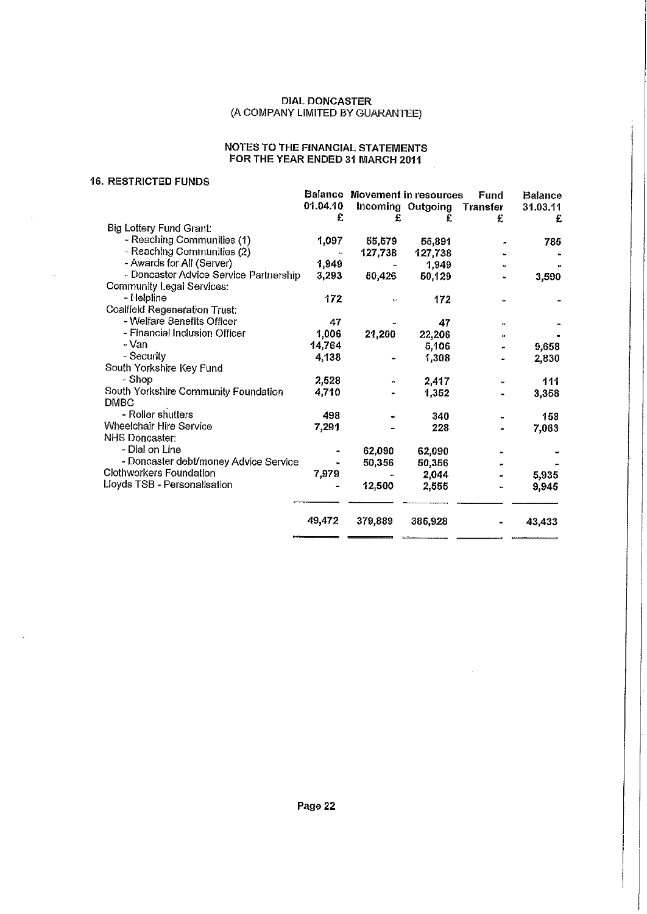# **NOTES TO THE FINANCIAL STATEMENTS FOR THE YEAR ENDED 31 MARCH 2011**

# **16. RESTRICTED FUNDS**

 $\ddot{\phantom{a}}$ 

|                                        |          | <b>Balance</b> Movement in resources |                   | Fund            | <b>Balance</b> |
|----------------------------------------|----------|--------------------------------------|-------------------|-----------------|----------------|
|                                        | 01.04.10 |                                      | Incoming Outgoing | <b>Transfer</b> | 31.03.11       |
|                                        | £        | £                                    | £                 | £               | £              |
| Big Lottery Fund Grant:                |          |                                      |                   |                 |                |
| - Reaching Communities (1)             | 1.097    | 55,579                               | 55.891            |                 | 785            |
| - Reaching Communities (2)             |          | 127,738                              | 127,738           |                 |                |
| - Awards for All (Server)              | 1,949    |                                      | 1.949             |                 |                |
| - Doncaster Advice Service Partnership | 3,293    | 50,426                               | 50,129            |                 | 3,590          |
| <b>Community Legal Services:</b>       |          |                                      |                   |                 |                |
| - Helpline                             | 172      |                                      | 172               |                 |                |
| <b>Coalfield Regeneration Trust:</b>   |          |                                      |                   |                 |                |
| - Welfare Benefits Officer             | 47       |                                      | 47                |                 |                |
| - Financial Inclusion Officer          | 1,006    | 21,200                               | 22,206            |                 |                |
| - Van                                  | 14,764   |                                      | 5,106             |                 | 9,658          |
| - Security                             | 4,138    |                                      | 1,308             |                 | 2,830          |
| South Yorkshire Key Fund               |          |                                      |                   |                 |                |
| - Shop                                 | 2,528    |                                      | 2,417             |                 | 111            |
| South Yorkshire Community Foundation   | 4,710    |                                      | 1 3 5 2           |                 | 3,358          |
| <b>DMBC</b>                            |          |                                      |                   |                 |                |
| - Roller shutters                      | 498      |                                      | 340               |                 | 158            |
| Wheelchair Hire Service                | 7,291    |                                      | 228               |                 | 7,063          |
| NHS Doncaster:                         |          |                                      |                   |                 |                |
| - Dial on Line                         |          | 62,090                               | 62,090            |                 |                |
| - Doncaster debt/money Advice Service  |          | 50,356                               | 50,356            |                 |                |
| <b>Clothworkers Foundation</b>         | 7,979    |                                      | 2.044             |                 | 5,935          |
| Lloyds TSB - Personalisation           |          | 12,500                               | 2,555             |                 | 9,945          |
|                                        |          |                                      |                   |                 |                |
|                                        | 49,472   | 379,889                              | 385,928           |                 | 43,433         |
|                                        |          |                                      |                   |                 |                |

 $\mathcal{L}^{\mathcal{L}}$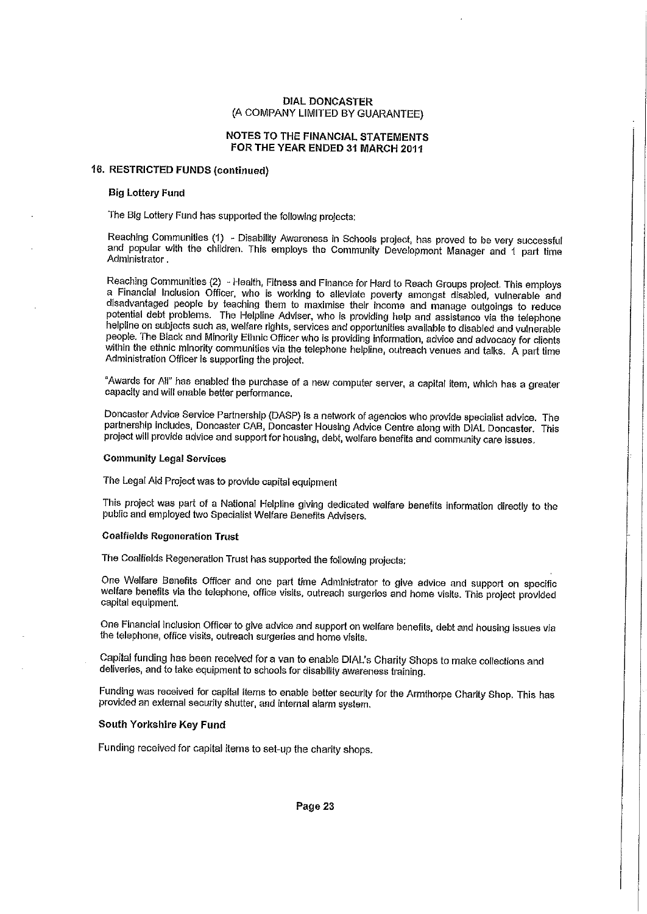## NOTES TO THE FINANCIAL STATEMENTS FOR THE YEAR ENDED 31 MARCH 2011

## 16. RESTRICTED FUNDS (continued)

#### Big Lottery Fund

The Big Lottery Fund has supported the following projects:

Reaching Communities (1) - Disability Awareness in Schools project, has proved to be very successful and popular with the children. This employs the Community Development Manager and 1 part time Administrator.

Reaching Communities (2) - Health, Fitness and Finance for Hard to Reach Groups project. This employs a Financial Inclusion Officer, who is working to alleviate poverty amongst disabled, vulnerable and disadvantaged people by teaching them to maximise their income and manage outgoings to reduce potential debt problems. The Helpline Adviser, who is providing help and assistance via the telephone helpline on subjects such as, welfare rights, services and opportunities available to disabled and vulnerable people. The Black and Minority Ethnic Officer who is providing information, advice and advocacy for clients within the ethnic minority communities via the telephone helpline, outreach venues and talks. A part time Administration Officer Is supporting the project.

"Awards for All" has enabled the purchase of a new computer server, a capital item, which has a greater capacity and will enable better performance.

Doncaster Advice Service Partnership (DASP) is a network of agencies who provide specialist advice. The partnership includes, Doncaster CAB, Doncaster Housing Advice Centre along with DIAL Doncaster. This project will provide advice and support for housing, debt, welfare benefits and community care issues.

#### Community Legal Services

The Legal Aid Project was to provide capital equipment

This project was part of a National Helpline giving dedicated welfare benefits information directly to the public and employed two Specialist Welfare Benefits Advisers.

#### Coalfields Regeneration Trust

The Coalfields Regeneration Trust has supported the following projects:

One Welfare Benefits Officer and one part time Administrator to give advice and support on specific welfare benefits via the telephone, office visits, outreach surgeries and home visits. This project provided capital equipment.

One Financial Inclusion Officer to give advice and support on welfare benefits, debt and housing issues via the telephone, office visits, outreach surgeries and home visits.

Capital funding has been received for a van to enable DIAL's Charity Shops to make collections and deliveries, and to take equipment to schools for disability awareness training.

Funding was received for capital items to enable better security for the Armthorpe Charity Shop, This has provided an external security shutter, and internal alarm system.

#### South Yorkshire Key Fund

Funding received for capital items to set-up the charity shops.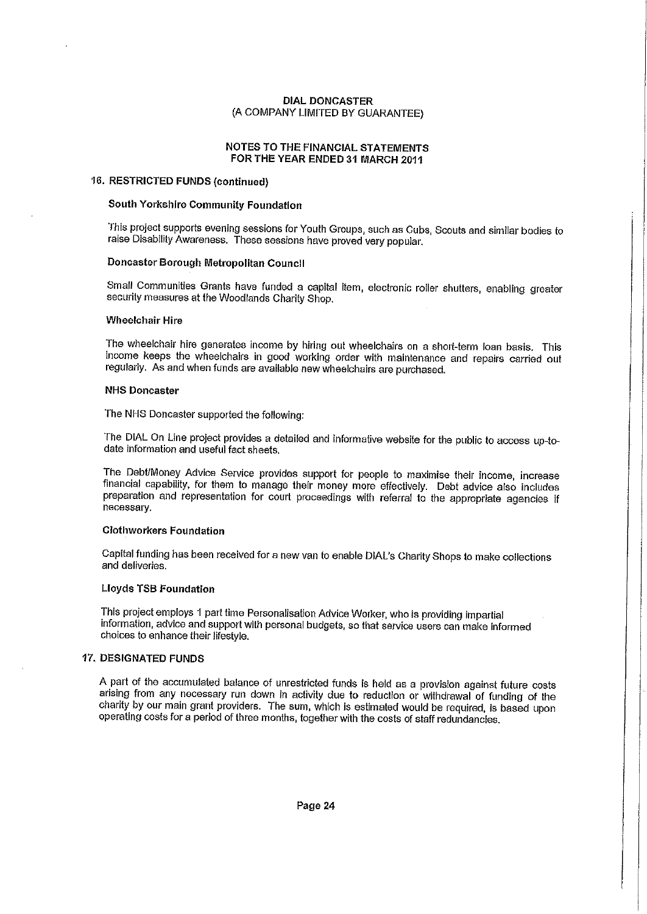## **NOTES TO THE FINANCIAL STATEMENTS FOR THE YEAR ENDED 31 MARCH 2011**

# **16. RESTRICTED FUNDS (continued)**

#### **South Yorkshire Community Foundation**

This project supports evening sessions for Youth Groups, such as Cubs, Scouts and similar bodies to raise Disability Awareness. These sessions have proved very popular.

#### **Doncaster Borough Metropolitan Council**

Small Communities Grants have funded a capital item, electronic roller shutters, enabling greater security measures at the Woodlands Charity Shop.

#### **Wheelchair Hire**

The wheelchair hire generates income by hiring out wheelchairs on a short-term loan basis. This income keeps the wheelchairs in good working order with maintenance and repairs carried out regularly. As and when funds are available new wheelchairs are purchased.

#### **NHS Doncaster**

The NHS Doncaster supported the following:

The DIAL On Line project provides a detailed and informative website for the public to access up-todate information and useful fact sheets.

The Debt/Money Advice Service provides support for people to maximise their income, increase financial capability, for them to manage their money more effectively. Debt advice also includes preparation and representation for court proceedings with referral to the appropriate agencies if necessary.

#### **Clothworkers Foundation**

Capital funding has been received for a new van to enable DIAL'S Charity Shops to make collections and deliveries.

#### **Lloyds TSB Foundation**

This project employs **1** part time Personalisation Advice Worker, who is providing impartial information, advice and support with personal budgets, so that service users can make informed choices to enhance their lifestyle.

# **17. DESIGNATED FUNDS**

A part of the accumulated balance of unrestricted funds is held as a provision against future costs arising from any necessary run down in activity due to reduction or withdrawal of funding of the charity by our main grant providers. The sum, which is estimated would be required, is based upon operating costs for a period of three months, together with the costs of staff redundancies.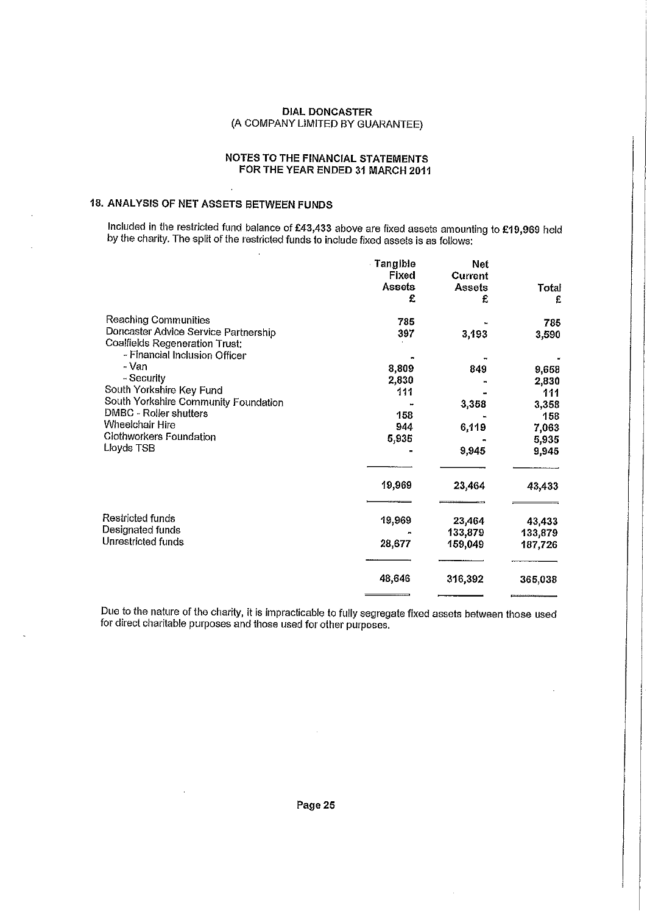### **NOTES TO THE FINANCIAL STATEMENTS FOR THE YEAR ENDED 31 MARCH 2011**

# **18. ANALYSIS OF NET ASSETS BETWEEN FUNDS**

 $\overline{a}$ 

Included in the restricted fund balance of £43,433 above are fixed assets amounting to £19,969 held by the charity. The split of the restricted funds to include fixed assets is as follows:

|                                                                        | Tangible<br>Fixed | Net<br>Current |         |
|------------------------------------------------------------------------|-------------------|----------------|---------|
|                                                                        | Assets            | <b>Assets</b>  | Total   |
|                                                                        | £                 | £              | £       |
| Reaching Communities                                                   | 785               |                | 785     |
| Doncaster Advice Service Partnership<br>Coalfields Regeneration Trust: | 397               | 3,193          | 3,590   |
| - Financial Inclusion Officer                                          |                   |                |         |
| - Van                                                                  | 8,809             | 849            | 9,658   |
| - Security                                                             | 2,830             |                | 2,830   |
| South Yorkshire Key Fund                                               | 111               |                | 111     |
| South Yorkshire Community Foundation                                   |                   | 3,358          | 3,358   |
| <b>DMBC</b> - Roller shutters                                          | 158               |                | 158     |
| Wheelchair Hire                                                        | 944               | 6,119          | 7,063   |
| Clothworkers Foundation                                                | 5,935             |                | 5,935   |
| Lloyds TSB                                                             |                   | 9,945          | 9,945   |
|                                                                        | 19,969            | 23,464         | 43,433  |
| Restricted funds                                                       | 19,969            | 23,464         | 43 433  |
| Designated funds                                                       |                   | 133,879        | 133,879 |
| Unrestricted funds                                                     | 28,677            | 159,049        | 187,726 |
|                                                                        | 48,646            | 316,392        | 365,038 |
|                                                                        |                   |                |         |

Due to the nature of the charity, it is impracticable to fully segregate fixed assets between those used for direct charitable purposes and those used for other purposes.